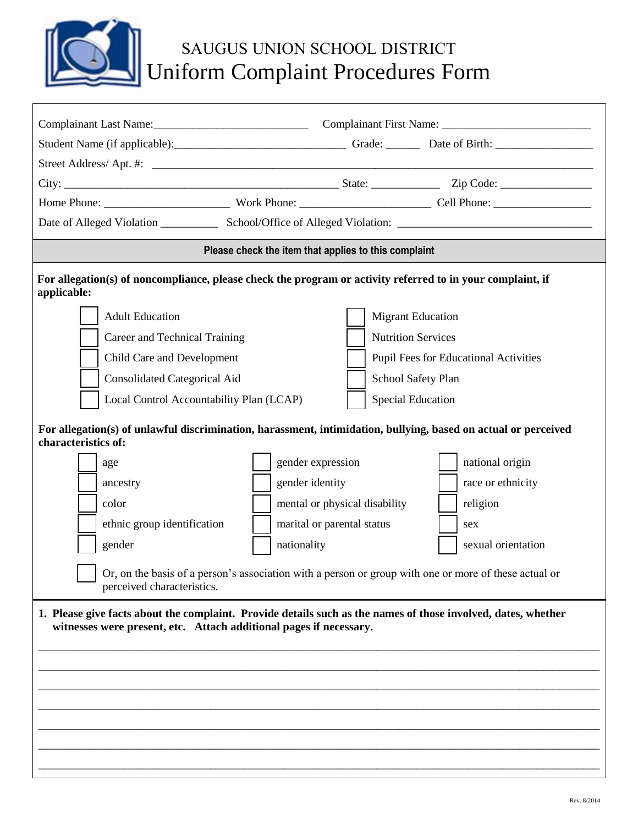

## SAUGUS UNION SCHOOL DISTRICT Uniform Complaint Procedures Form

| Complainant Last Name: Complainant First Name: Complainant Excellence Complainant First Name:                             |                                                      |                               |                                                                                                                |
|---------------------------------------------------------------------------------------------------------------------------|------------------------------------------------------|-------------------------------|----------------------------------------------------------------------------------------------------------------|
|                                                                                                                           |                                                      |                               |                                                                                                                |
|                                                                                                                           |                                                      |                               |                                                                                                                |
|                                                                                                                           |                                                      |                               |                                                                                                                |
|                                                                                                                           |                                                      |                               |                                                                                                                |
|                                                                                                                           |                                                      |                               |                                                                                                                |
|                                                                                                                           | Please check the item that applies to this complaint |                               |                                                                                                                |
| For allegation(s) of noncompliance, please check the program or activity referred to in your complaint, if<br>applicable: |                                                      |                               |                                                                                                                |
| <b>Adult Education</b>                                                                                                    |                                                      |                               | <b>Migrant Education</b>                                                                                       |
| Career and Technical Training                                                                                             |                                                      |                               | <b>Nutrition Services</b>                                                                                      |
| Child Care and Development                                                                                                |                                                      |                               | <b>Pupil Fees for Educational Activities</b>                                                                   |
| <b>Consolidated Categorical Aid</b>                                                                                       |                                                      |                               | School Safety Plan                                                                                             |
| Local Control Accountability Plan (LCAP)                                                                                  |                                                      |                               | <b>Special Education</b>                                                                                       |
| characteristics of:                                                                                                       |                                                      |                               | For allegation(s) of unlawful discrimination, harassment, intimidation, bullying, based on actual or perceived |
| age                                                                                                                       | gender expression                                    |                               | national origin                                                                                                |
| ancestry                                                                                                                  | gender identity                                      |                               | race or ethnicity                                                                                              |
| color                                                                                                                     |                                                      | mental or physical disability | religion                                                                                                       |
| ethnic group identification                                                                                               |                                                      | marital or parental status    | sex                                                                                                            |
| gender                                                                                                                    | nationality                                          |                               | sexual orientation                                                                                             |
| perceived characteristics.                                                                                                |                                                      |                               | Or, on the basis of a person's association with a person or group with one or more of these actual or          |
| witnesses were present, etc. Attach additional pages if necessary.                                                        |                                                      |                               | 1. Please give facts about the complaint. Provide details such as the names of those involved, dates, whether  |
|                                                                                                                           |                                                      |                               |                                                                                                                |
|                                                                                                                           |                                                      |                               |                                                                                                                |
|                                                                                                                           |                                                      |                               |                                                                                                                |
|                                                                                                                           |                                                      |                               |                                                                                                                |
|                                                                                                                           |                                                      |                               |                                                                                                                |